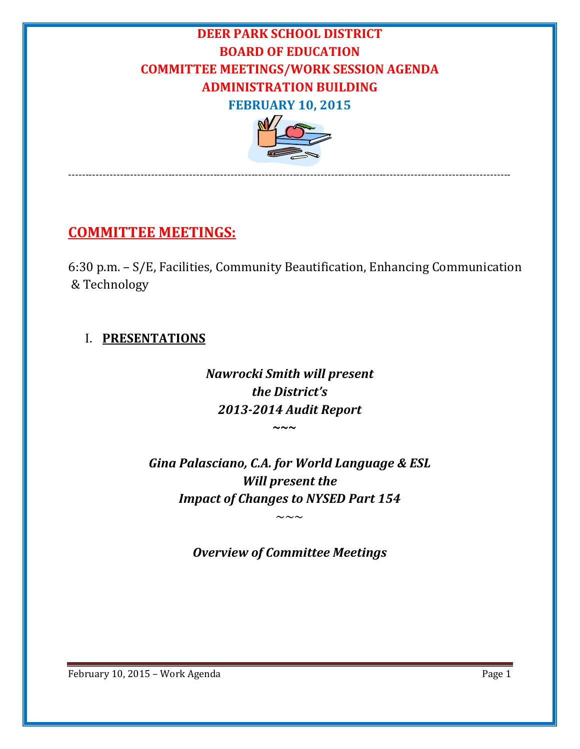# **DEER PARK SCHOOL DISTRICT BOARD OF EDUCATION COMMITTEE MEETINGS/WORK SESSION AGENDA ADMINISTRATION BUILDING FEBRUARY 10, 2015**



‐‐‐‐‐‐‐‐‐‐‐‐‐‐‐‐‐‐‐‐‐‐‐‐‐‐‐‐‐‐‐‐‐‐‐‐‐‐‐‐‐‐‐‐‐‐‐‐‐‐‐‐‐‐‐‐‐‐‐‐‐‐‐‐‐‐‐‐‐‐‐‐‐‐‐‐‐‐‐‐‐‐‐‐‐‐‐‐‐‐‐‐‐‐‐‐‐‐‐‐‐‐‐‐‐‐‐‐‐‐‐‐‐‐‐‐‐‐‐‐‐‐‐‐‐‐‐‐

# **COMMITTEE MEETINGS:**

6:30 p.m.  $- S/E$ , Facilities, Community Beautification, Enhancing Communication & Technology 

#### I. **PRESENTATIONS**

*Nawrocki Smith will present the District's 2013‐2014 Audit Report*  **~~~**

> *Gina Palasciano, C.A. for World Language & ESL Will present the Impact of Changes to NYSED Part 154*

> > *Overview of Committee Meetings*

 $\sim\sim\,\sim$ 

February 10, 2015 – Work Agenda **Page 1**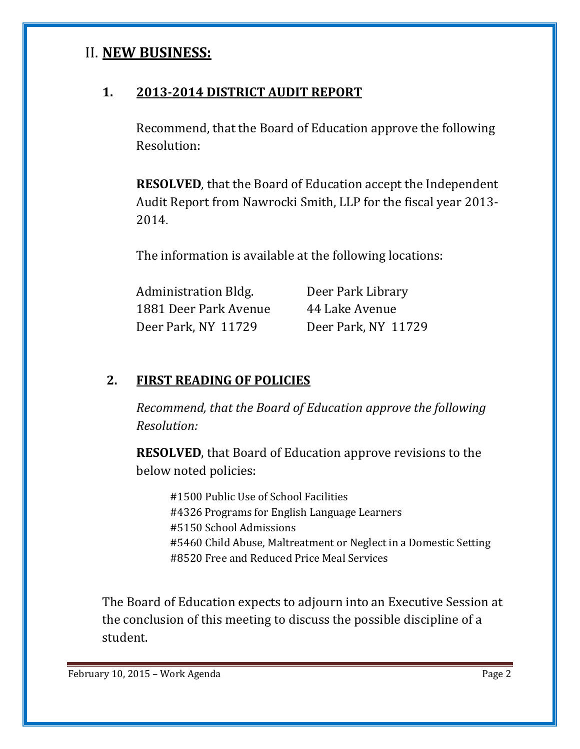## II. **NEW BUSINESS:**

## **1. 2013‐2014 DISTRICT AUDIT REPORT**

Recommend, that the Board of Education approve the following Resolution:

**RESOLVED**, that the Board of Education accept the Independent Audit Report from Nawrocki Smith, LLP for the fiscal year 2013-2014. 

The information is available at the following locations:

| <b>Administration Bldg.</b> | Deer Park Library   |
|-----------------------------|---------------------|
| 1881 Deer Park Avenue       | 44 Lake Avenue      |
| Deer Park, NY 11729         | Deer Park, NY 11729 |

#### **2. FIRST READING OF POLICIES**

*Recommend, that the Board of Education approve the following Resolution:*

**RESOLVED**, that Board of Education approve revisions to the below noted policies:

#1500 Public Use of School Facilities #4326 Programs for English Language Learners #5150 School Admissions #5460 Child Abuse, Maltreatment or Neglect in a Domestic Setting #8520 Free and Reduced Price Meal Services

The Board of Education expects to adjourn into an Executive Session at the conclusion of this meeting to discuss the possible discipline of a student.